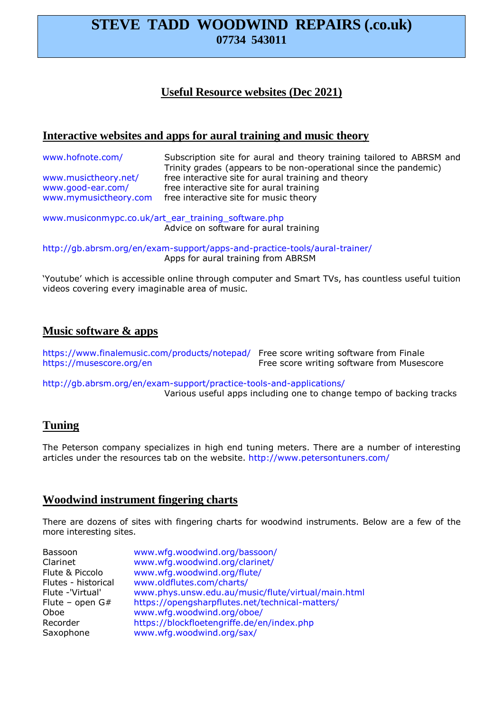# **STEVE TADD WOODWIND REPAIRS (.co.uk) 07734 543011**

## **Useful Resource websites (Dec 2021)**

## **Interactive websites and apps for aural training and music theory**

| www.hofnote.com/      | Subscription site for aural and theory training tailored to ABRSM and<br>Trinity grades (appears to be non-operational since the pandemic) |
|-----------------------|--------------------------------------------------------------------------------------------------------------------------------------------|
| www.musictheory.net/  | free interactive site for aural training and theory                                                                                        |
| www.good-ear.com/     | free interactive site for aural training                                                                                                   |
| www.mymusictheory.com | free interactive site for music theory                                                                                                     |

www.musiconmypc.co.uk/art\_ear\_training\_software.php Advice on software for aural training

http://gb.abrsm.org/en/exam-support/apps-and-practice-tools/aural-trainer/ Apps for aural training from ABRSM

'Youtube' which is accessible online through computer and Smart TVs, has countless useful tuition videos covering every imaginable area of music.

#### **Music software & apps**

https://www.finalemusic.com/products/notepad/ Free score writing software from Finale https://musescore.org/en Free score writing software from Musescore

http://gb.abrsm.org/en/exam-support/practice-tools-and-applications/ Various useful apps including one to change tempo of backing tracks

### **Tuning**

The Peterson company specializes in high end tuning meters. There are a number of interesting articles under the resources tab on the website. http://www.petersontuners.com/

### **Woodwind instrument fingering charts**

There are dozens of sites with fingering charts for woodwind instruments. Below are a few of the more interesting sites.

| Bassoon             | www.wfg.woodwind.org/bassoon/                      |
|---------------------|----------------------------------------------------|
| Clarinet            | www.wfg.woodwind.org/clarinet/                     |
| Flute & Piccolo     | www.wfg.woodwind.org/flute/                        |
| Flutes - historical | www.oldflutes.com/charts/                          |
| Flute -'Virtual'    | www.phys.unsw.edu.au/music/flute/virtual/main.html |
| Flute – open $G#$   | https://opengsharpflutes.net/technical-matters/    |
| Oboe                | www.wfg.woodwind.org/oboe/                         |
| Recorder            | https://blockfloetengriffe.de/en/index.php         |
| Saxophone           | www.wfg.woodwind.org/sax/                          |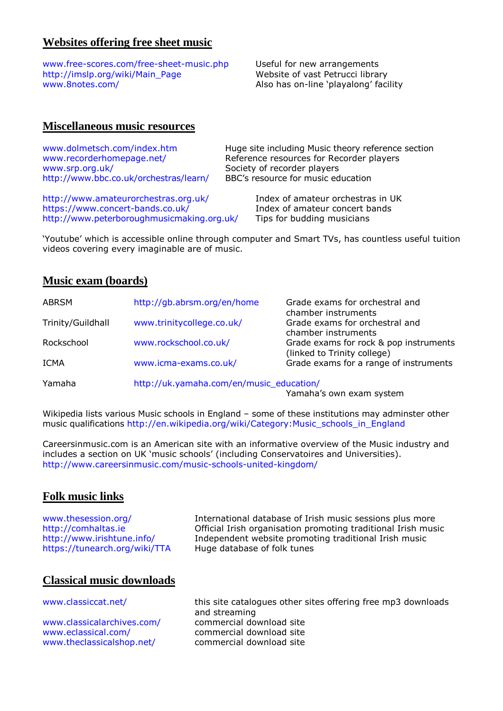## **Websites offering free sheet music**

www.free-scores.com/free-sheet-music.php Useful for new arrangements http://imslp.org/wiki/Main\_Page Website of vast Petrucci library www.8notes.com/ and also has on-line 'playalong' facility

#### **Miscellaneous music resources**

| www.dolmetsch.com/index.htm            | Huge site including Music theory reference section |
|----------------------------------------|----------------------------------------------------|
| www.recorderhomepage.net/              | Reference resources for Recorder players           |
| www.srp.org.uk/                        | Society of recorder players                        |
| http://www.bbc.co.uk/orchestras/learn/ | BBC's resource for music education                 |
| http://www.amateurorchestras.org.uk/   | Index of amateur orchestras in UK                  |
| https://www.concert-bands.co.uk/       | Index of amateur concert bands                     |

http://www.peterboroughmusicmaking.org.uk/ Tips for budding musicians

'Youtube' which is accessible online through computer and Smart TVs, has countless useful tuition videos covering every imaginable are of music.

#### **Music exam (boards)**

| <b>ABRSM</b>      | http://gb.abrsm.org/en/home              | Grade exams for orchestral and<br>chamber instruments                 |
|-------------------|------------------------------------------|-----------------------------------------------------------------------|
| Trinity/Guildhall | www.trinitycollege.co.uk/                | Grade exams for orchestral and<br>chamber instruments                 |
| Rockschool        | www.rockschool.co.uk/                    | Grade exams for rock & pop instruments<br>(linked to Trinity college) |
| ICMA              | www.icma-exams.co.uk/                    | Grade exams for a range of instruments                                |
| Yamaha            | http://uk.yamaha.com/en/music_education/ | Yamaha's own exam system                                              |

Wikipedia lists various Music schools in England – some of these institutions may adminster other music qualifications http://en.wikipedia.org/wiki/Category:Music\_schools\_in\_England

Careersinmusic.com is an American site with an informative overview of the Music industry and includes a section on UK 'music schools' (including Conservatoires and Universities). http://www.careersinmusic.com/music-schools-united-kingdom/

#### **Folk music links**

https://tunearch.org/wiki/TTA Huge database of folk tunes

www.thesession.org/ International database of Irish music sessions plus more http://comhaltas.ie Official Irish organisation promoting traditional Irish music http://www.irishtune.info/ Independent website promoting traditional Irish music

### **Classical music downloads**

www.classicalarchives.com/ commercial download site www.eclassical.com/ commercial download site www.theclassicalshop.net/ commercial download site

www.classiccat.net/ this site catalogues other sites offering free mp3 downloads and streaming